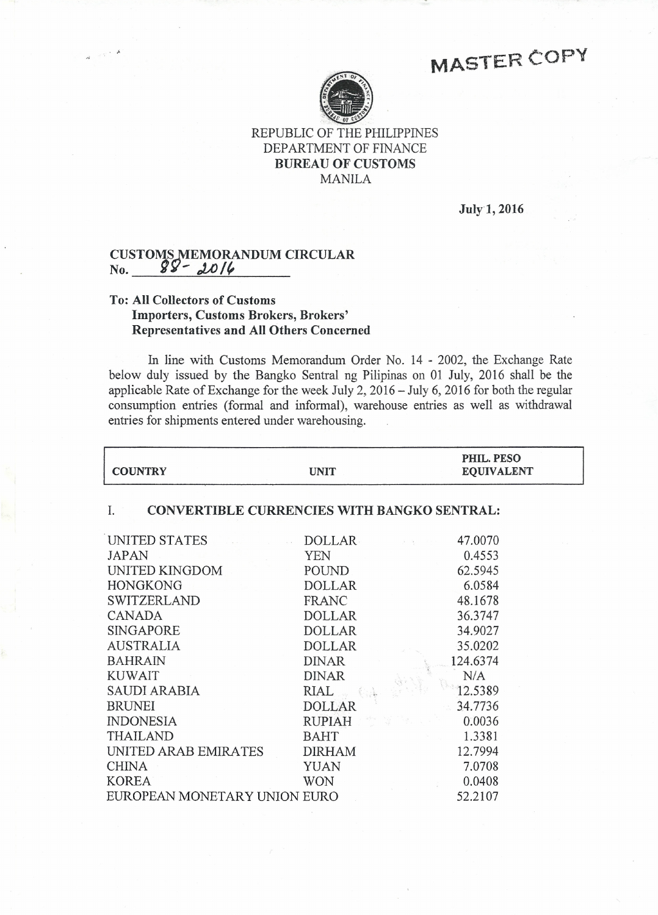# **MASTER COPY**



REPUBLIC OF THE PHILIPPINES DEPARTMENT OF FINANCE **BUREAU OF CUSTOMS** MANILA

July 1, **2016**

### **CUSTOMS MEMORANDUM CIRCULAR** No. 88-2016

### **To: All Collectors of Customs Importers, Customs Brokers, Brokers' Representatives and All Others Concerned**

In line with Customs Memorandum Order No. 14 - 2002, the Exchange Rate below duly issued by the Bangko Sentral ng Pilipinas on 01 July, 2016 shall be the applicable Rate of Exchange for the week July 2,2016 - July 6, 2016 for both the regular consumption entries (formal and informal), warehouse entries as well as withdrawal entries for shipments entered under warehousing.

| <b>COUNTRY</b>                                           | <b>UNIT</b>   | PHIL. PESO<br><b>EQUIVALENT</b> |
|----------------------------------------------------------|---------------|---------------------------------|
| <b>CONVERTIBLE CURRENCIES WITH BANGKO SENTRAL:</b><br>I. |               |                                 |
| UNITED STATES                                            | <b>DOLLAR</b> | 47.0070                         |
| <b>JAPAN</b>                                             | <b>YEN</b>    | 0.4553                          |
| UNITED KINGDOM                                           | POUND         | 62.5945                         |
| <b>HONGKONG</b>                                          | <b>DOLLAR</b> | 6.0584                          |
| SWITZERLAND                                              | FRANC         | 48.1678                         |
| <b>CANADA</b>                                            | <b>DOLLAR</b> | 36.3747                         |
| <b>SINGAPORE</b>                                         | <b>DOLLAR</b> | 34.9027                         |
| <b>AUSTRALIA</b>                                         | <b>DOLLAR</b> | 35.0202                         |
| <b>BAHRAIN</b>                                           | <b>DINAR</b>  | 124.6374                        |
| <b>KUWAIT</b>                                            | <b>DINAR</b>  | N/A                             |
| <b>SAUDI ARABIA</b>                                      | <b>RIAL</b>   | 12.5389                         |
| <b>BRUNEI</b>                                            | <b>DOLLAR</b> | 34.7736                         |
| <b>INDONESIA</b>                                         | RUPIAH        | 0.0036                          |
| <b>THAILAND</b>                                          | <b>BAHT</b>   | 1.3381                          |
| UNITED ARAB EMIRATES                                     | DIRHAM        | 12.7994                         |
| <b>CHINA</b>                                             | YUAN          | 7.0708                          |
| <b>KOREA</b>                                             | <b>WON</b>    | 0.0408                          |
| EUROPEAN MONETARY UNION EURO                             |               | 52.2107                         |